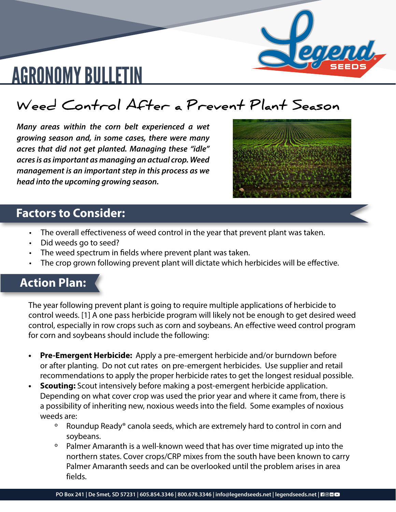

# AGRONOMY BULLETIN

### **Weed Control After a Prevent Plant Season**

*Many areas within the corn belt experienced a wet growing season and, in some cases, there were many acres that did not get planted. Managing these "idle" acres is as important as managing an actual crop. Weed management is an important step in this process as we head into the upcoming growing season.*



#### **Factors to Consider:**

- The overall effectiveness of weed control in the year that prevent plant was taken.
- Did weeds go to seed?
- The weed spectrum in fields where prevent plant was taken.
- The crop grown following prevent plant will dictate which herbicides will be effective.

#### **Action Plan:**

The year following prevent plant is going to require multiple applications of herbicide to control weeds. [1] A one pass herbicide program will likely not be enough to get desired weed control, especially in row crops such as corn and soybeans. An effective weed control program for corn and soybeans should include the following:

- **• Pre-Emergent Herbicide:** Apply a pre-emergent herbicide and/or burndown before or after planting. Do not cut rates on pre-emergent herbicides. Use supplier and retail recommendations to apply the proper herbicide rates to get the longest residual possible.
- **• Scouting:** Scout intensively before making a post-emergent herbicide application. Depending on what cover crop was used the prior year and where it came from, there is a possibility of inheriting new, noxious weeds into the field. Some examples of noxious weeds are:
	- º Roundup Ready® canola seeds, which are extremely hard to control in corn and soybeans.
	- Palmer Amaranth is a well-known weed that has over time migrated up into the northern states. Cover crops/CRP mixes from the south have been known to carry Palmer Amaranth seeds and can be overlooked until the problem arises in area fields.